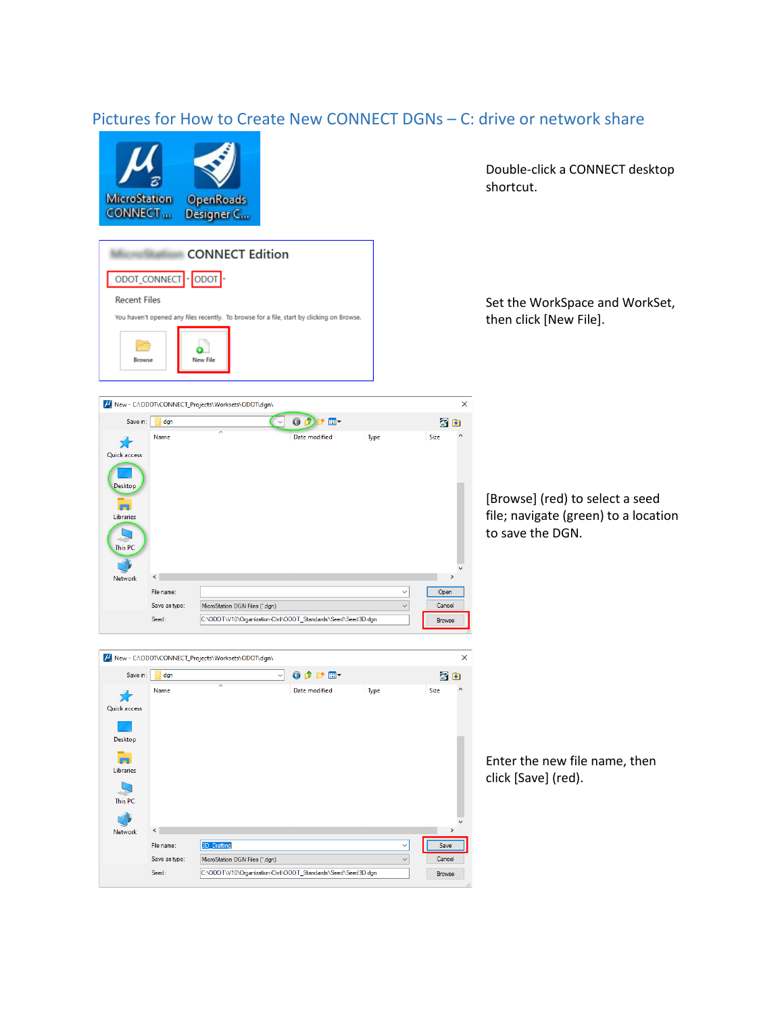## Pictures for How to Create New CONNECT DGNs – C: drive or network share



M New - C:\ODOT\CONNECT\_Projects\Worksets\ODOT\dgn\

M New - C:\ODOT\CONNECT\_Projects\Worksets\ODOT\dgn\

Save in: dgn

矛 Quick access

> Desktop ē. Libraries  $\mathbf Q$ This PC

Network

Name

 $\langle$ 

File name

Seed:

Save as type:

3D\_Drafting

MicroStation DGN Files (\*.dgn)

C:\ODOT\V10\Organization-Civil\ODOT\_Standards\Seed\Seed3D.dgn

Save in: dgn



Double-click a CONNECT desktop shortcut.

Set the WorkSpace and WorkSet, then click [New File].

 $\times$ 

 $\times$ 

Save

Cancel

Browse

子图 Name Date modified Size Type 矛 Quick access Desktop m Libraries This PC N<sub>1</sub>  $\left\langle \cdot \right\rangle$  $\rightarrow$ Network File name  $\checkmark$ Open Save as type: MicroStation DGN Files (\*.dgn)  $\checkmark$  $Cancel$ Seed: C:\ODOT\V10\Organization-Civil\ODOT\_Standards\Seed\Seed3D.dgn Browse

 $\begin{pmatrix} 0 & 0 & 0 \\ 0 & 0 & 0 \end{pmatrix}$ 

[Browse] (red) to select a seed file; navigate (green) to a location to save the DGN.

Enter the new file name, then click [Save] (red).

VODPET 30 Date modified Type Size

 $\checkmark$ 

 $\checkmark$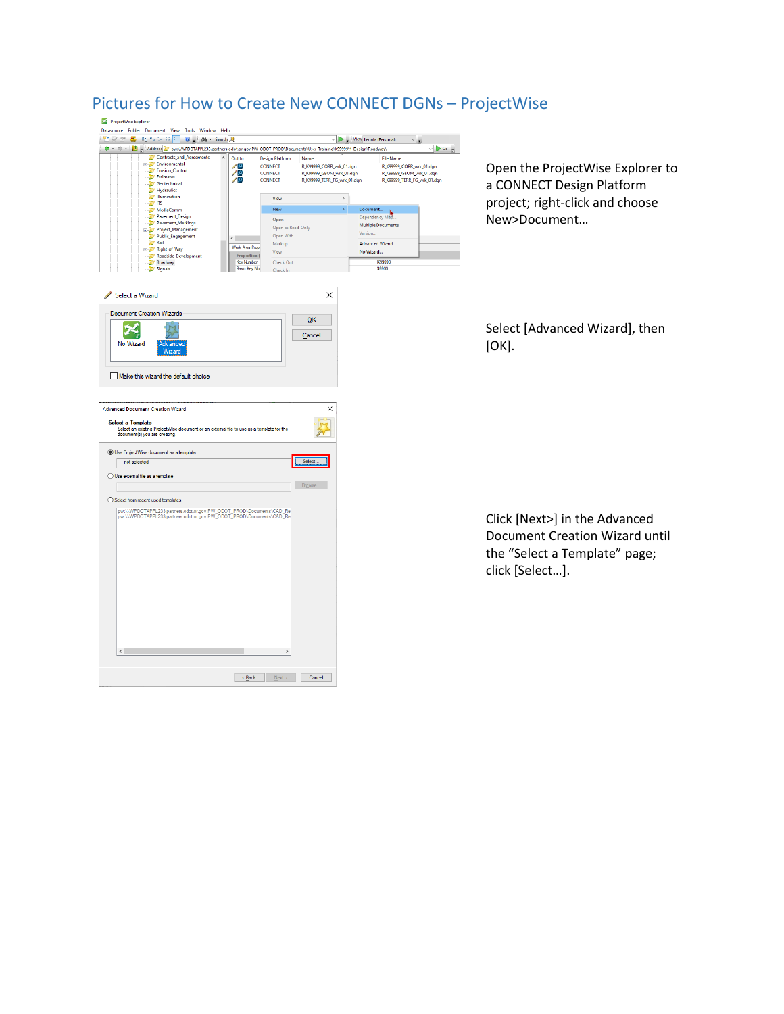

 $\begin{array}{|c|c|c|c|c|}\hline & & & \underline{\textbf{N}}\textbf{ext} & \textbf{C} & \textbf{C} & \textbf{C} \\ \hline \end{array}$ 

## Pictures for How to Create New CONNECT DGNs – ProjectWise

Open the ProjectWise Explorer to a CONNECT Design Platform project; right-click and choose New>Document…

Select [Advanced Wizard], then  $[OK]$ .

Click [Next>] in the Advanced Document Creation Wizard until the "Select a Template" page; click [Select…].